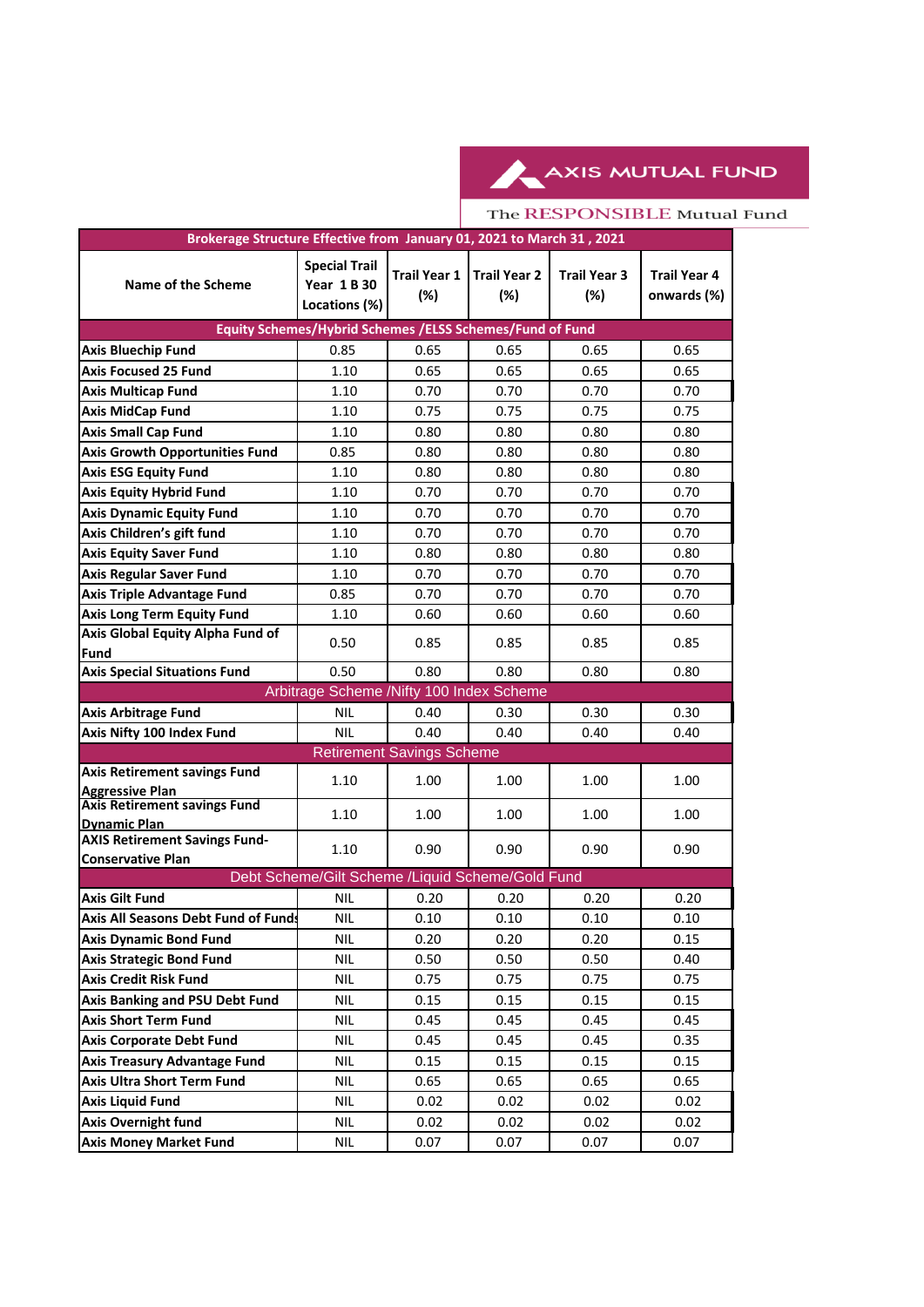AXIS MUTUAL FUND

## The RESPONSIBLE Mutual Fund

| Brokerage Structure Effective from January 01, 2021 to March 31, 2021 |                                                             |                            |                            |                            |                                    |  |  |  |  |
|-----------------------------------------------------------------------|-------------------------------------------------------------|----------------------------|----------------------------|----------------------------|------------------------------------|--|--|--|--|
| Name of the Scheme                                                    | <b>Special Trail</b><br><b>Year 1 B 30</b><br>Locations (%) | <b>Trail Year 1</b><br>(%) | <b>Trail Year 2</b><br>(%) | <b>Trail Year 3</b><br>(%) | <b>Trail Year 4</b><br>onwards (%) |  |  |  |  |
| Equity Schemes/Hybrid Schemes /ELSS Schemes/Fund of Fund              |                                                             |                            |                            |                            |                                    |  |  |  |  |
| <b>Axis Bluechip Fund</b>                                             | 0.85                                                        | 0.65                       | 0.65                       | 0.65                       | 0.65                               |  |  |  |  |
| <b>Axis Focused 25 Fund</b>                                           | 1.10                                                        | 0.65                       | 0.65                       | 0.65                       | 0.65                               |  |  |  |  |
| <b>Axis Multicap Fund</b>                                             | 1.10                                                        | 0.70                       | 0.70                       | 0.70                       | 0.70                               |  |  |  |  |
| <b>Axis MidCap Fund</b>                                               | 1.10                                                        | 0.75                       | 0.75                       | 0.75                       | 0.75                               |  |  |  |  |
| <b>Axis Small Cap Fund</b>                                            | 1.10                                                        | 0.80                       | 0.80                       | 0.80                       | 0.80                               |  |  |  |  |
| <b>Axis Growth Opportunities Fund</b>                                 | 0.85                                                        | 0.80                       | 0.80                       | 0.80                       | 0.80                               |  |  |  |  |
| <b>Axis ESG Equity Fund</b>                                           | 1.10                                                        | 0.80                       | 0.80                       | 0.80                       | 0.80                               |  |  |  |  |
| <b>Axis Equity Hybrid Fund</b>                                        | 1.10                                                        | 0.70                       | 0.70                       | 0.70                       | 0.70                               |  |  |  |  |
| <b>Axis Dynamic Equity Fund</b>                                       | 1.10                                                        | 0.70                       | 0.70                       | 0.70                       | 0.70                               |  |  |  |  |
| Axis Children's gift fund                                             | 1.10                                                        | 0.70                       | 0.70                       | 0.70                       | 0.70                               |  |  |  |  |
| <b>Axis Equity Saver Fund</b>                                         | 1.10                                                        | 0.80                       | 0.80                       | 0.80                       | 0.80                               |  |  |  |  |
| <b>Axis Regular Saver Fund</b>                                        | 1.10                                                        | 0.70                       | 0.70                       | 0.70                       | 0.70                               |  |  |  |  |
| <b>Axis Triple Advantage Fund</b>                                     | 0.85                                                        | 0.70                       | 0.70                       | 0.70                       | 0.70                               |  |  |  |  |
| <b>Axis Long Term Equity Fund</b>                                     | 1.10                                                        | 0.60                       | 0.60                       | 0.60                       | 0.60                               |  |  |  |  |
| Axis Global Equity Alpha Fund of<br><b>Fund</b>                       | 0.50                                                        | 0.85                       | 0.85                       | 0.85                       | 0.85                               |  |  |  |  |
| <b>Axis Special Situations Fund</b>                                   | 0.50                                                        | 0.80                       | 0.80                       | 0.80                       | 0.80                               |  |  |  |  |
|                                                                       | Arbitrage Scheme /Nifty 100 Index Scheme                    |                            |                            |                            |                                    |  |  |  |  |
| <b>Axis Arbitrage Fund</b>                                            | <b>NIL</b>                                                  | 0.40                       | 0.30                       | 0.30                       | 0.30                               |  |  |  |  |
| Axis Nifty 100 Index Fund                                             | <b>NIL</b>                                                  | 0.40                       | 0.40                       | 0.40                       | 0.40                               |  |  |  |  |
| <b>Retirement Savings Scheme</b>                                      |                                                             |                            |                            |                            |                                    |  |  |  |  |
| <b>Axis Retirement savings Fund</b><br><b>Aggressive Plan</b>         | 1.10                                                        | 1.00                       | 1.00                       | 1.00                       | 1.00                               |  |  |  |  |
| <b>Axis Retirement savings Fund</b>                                   | 1.10                                                        | 1.00                       | 1.00                       | 1.00                       | 1.00                               |  |  |  |  |
| <b>Dynamic Plan</b><br><b>AXIS Retirement Savings Fund-</b>           |                                                             |                            |                            |                            |                                    |  |  |  |  |
| <b>Conservative Plan</b>                                              | 1.10                                                        | 0.90                       | 0.90                       | 0.90                       | 0.90                               |  |  |  |  |
| Debt Scheme/Gilt Scheme /Liquid Scheme/Gold Fund                      |                                                             |                            |                            |                            |                                    |  |  |  |  |
| <b>Axis Gilt Fund</b>                                                 | <b>NIL</b>                                                  | 0.20                       | 0.20                       | 0.20                       | 0.20                               |  |  |  |  |
| <b>Axis All Seasons Debt Fund of Funds</b>                            | NIL.                                                        | 0.10                       | $0.10\,$                   | $0.10\,$                   | 0.10                               |  |  |  |  |
| <b>Axis Dynamic Bond Fund</b>                                         | <b>NIL</b>                                                  | 0.20                       | 0.20                       | 0.20                       | 0.15                               |  |  |  |  |
| <b>Axis Strategic Bond Fund</b>                                       | <b>NIL</b>                                                  | 0.50                       | 0.50                       | 0.50                       | 0.40                               |  |  |  |  |
| <b>Axis Credit Risk Fund</b>                                          | <b>NIL</b>                                                  | 0.75                       | 0.75                       | 0.75                       | 0.75                               |  |  |  |  |
| Axis Banking and PSU Debt Fund                                        | <b>NIL</b>                                                  | 0.15                       | 0.15                       | 0.15                       | 0.15                               |  |  |  |  |
| <b>Axis Short Term Fund</b>                                           | NIL                                                         | 0.45                       | 0.45                       | 0.45                       | 0.45                               |  |  |  |  |
| <b>Axis Corporate Debt Fund</b>                                       | <b>NIL</b>                                                  | 0.45                       | 0.45                       | 0.45                       | 0.35                               |  |  |  |  |
| <b>Axis Treasury Advantage Fund</b>                                   | <b>NIL</b>                                                  | 0.15                       | 0.15                       | 0.15                       | 0.15                               |  |  |  |  |
| <b>Axis Ultra Short Term Fund</b>                                     | <b>NIL</b>                                                  | 0.65                       | 0.65                       | 0.65                       | 0.65                               |  |  |  |  |
| <b>Axis Liquid Fund</b>                                               | <b>NIL</b>                                                  | 0.02                       | 0.02                       | 0.02                       | 0.02                               |  |  |  |  |
| <b>Axis Overnight fund</b>                                            | <b>NIL</b>                                                  | 0.02                       | 0.02                       | 0.02                       | 0.02                               |  |  |  |  |
| <b>Axis Money Market Fund</b>                                         | <b>NIL</b>                                                  | 0.07                       | 0.07                       | 0.07                       | 0.07                               |  |  |  |  |